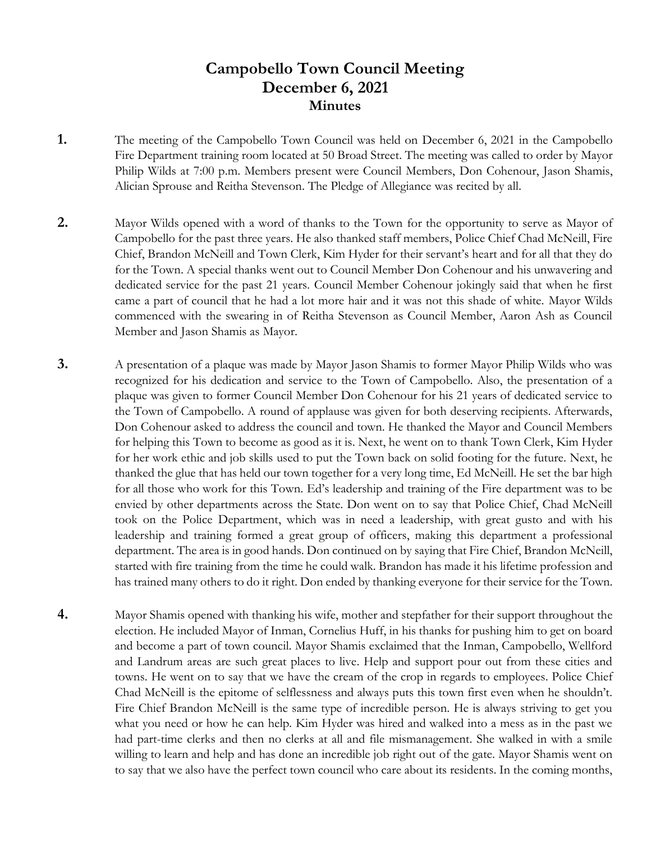# **Campobello Town Council Meeting December 6, 2021 Minutes**

- **1.** The meeting of the Campobello Town Council was held on December 6, 2021 in the Campobello Fire Department training room located at 50 Broad Street. The meeting was called to order by Mayor Philip Wilds at 7:00 p.m. Members present were Council Members, Don Cohenour, Jason Shamis, Alician Sprouse and Reitha Stevenson. The Pledge of Allegiance was recited by all.
- **2.** Mayor Wilds opened with a word of thanks to the Town for the opportunity to serve as Mayor of Campobello for the past three years. He also thanked staff members, Police Chief Chad McNeill, Fire Chief, Brandon McNeill and Town Clerk, Kim Hyder for their servant's heart and for all that they do for the Town. A special thanks went out to Council Member Don Cohenour and his unwavering and dedicated service for the past 21 years. Council Member Cohenour jokingly said that when he first came a part of council that he had a lot more hair and it was not this shade of white. Mayor Wilds commenced with the swearing in of Reitha Stevenson as Council Member, Aaron Ash as Council Member and Jason Shamis as Mayor.
- **3.** A presentation of a plaque was made by Mayor Jason Shamis to former Mayor Philip Wilds who was recognized for his dedication and service to the Town of Campobello. Also, the presentation of a plaque was given to former Council Member Don Cohenour for his 21 years of dedicated service to the Town of Campobello. A round of applause was given for both deserving recipients. Afterwards, Don Cohenour asked to address the council and town. He thanked the Mayor and Council Members for helping this Town to become as good as it is. Next, he went on to thank Town Clerk, Kim Hyder for her work ethic and job skills used to put the Town back on solid footing for the future. Next, he thanked the glue that has held our town together for a very long time, Ed McNeill. He set the bar high for all those who work for this Town. Ed's leadership and training of the Fire department was to be envied by other departments across the State. Don went on to say that Police Chief, Chad McNeill took on the Police Department, which was in need a leadership, with great gusto and with his leadership and training formed a great group of officers, making this department a professional department. The area is in good hands. Don continued on by saying that Fire Chief, Brandon McNeill, started with fire training from the time he could walk. Brandon has made it his lifetime profession and has trained many others to do it right. Don ended by thanking everyone for their service for the Town.
- **4.** Mayor Shamis opened with thanking his wife, mother and stepfather for their support throughout the election. He included Mayor of Inman, Cornelius Huff, in his thanks for pushing him to get on board and become a part of town council. Mayor Shamis exclaimed that the Inman, Campobello, Wellford and Landrum areas are such great places to live. Help and support pour out from these cities and towns. He went on to say that we have the cream of the crop in regards to employees. Police Chief Chad McNeill is the epitome of selflessness and always puts this town first even when he shouldn't. Fire Chief Brandon McNeill is the same type of incredible person. He is always striving to get you what you need or how he can help. Kim Hyder was hired and walked into a mess as in the past we had part-time clerks and then no clerks at all and file mismanagement. She walked in with a smile willing to learn and help and has done an incredible job right out of the gate. Mayor Shamis went on to say that we also have the perfect town council who care about its residents. In the coming months,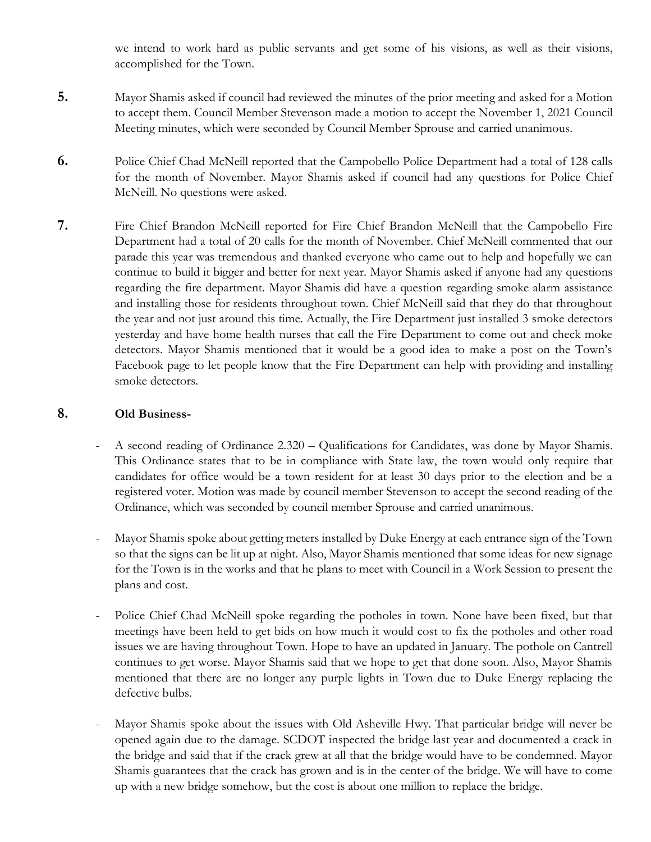we intend to work hard as public servants and get some of his visions, as well as their visions, accomplished for the Town.

- **5.** Mayor Shamis asked if council had reviewed the minutes of the prior meeting and asked for a Motion to accept them. Council Member Stevenson made a motion to accept the November 1, 2021 Council Meeting minutes, which were seconded by Council Member Sprouse and carried unanimous.
- **6.** Police Chief Chad McNeill reported that the Campobello Police Department had a total of 128 calls for the month of November. Mayor Shamis asked if council had any questions for Police Chief McNeill. No questions were asked.
- **7.** Fire Chief Brandon McNeill reported for Fire Chief Brandon McNeill that the Campobello Fire Department had a total of 20 calls for the month of November. Chief McNeill commented that our parade this year was tremendous and thanked everyone who came out to help and hopefully we can continue to build it bigger and better for next year. Mayor Shamis asked if anyone had any questions regarding the fire department. Mayor Shamis did have a question regarding smoke alarm assistance and installing those for residents throughout town. Chief McNeill said that they do that throughout the year and not just around this time. Actually, the Fire Department just installed 3 smoke detectors yesterday and have home health nurses that call the Fire Department to come out and check moke detectors. Mayor Shamis mentioned that it would be a good idea to make a post on the Town's Facebook page to let people know that the Fire Department can help with providing and installing smoke detectors.

### **8. Old Business-**

- A second reading of Ordinance 2.320 Qualifications for Candidates, was done by Mayor Shamis. This Ordinance states that to be in compliance with State law, the town would only require that candidates for office would be a town resident for at least 30 days prior to the election and be a registered voter. Motion was made by council member Stevenson to accept the second reading of the Ordinance, which was seconded by council member Sprouse and carried unanimous.
- Mayor Shamis spoke about getting meters installed by Duke Energy at each entrance sign of the Town so that the signs can be lit up at night. Also, Mayor Shamis mentioned that some ideas for new signage for the Town is in the works and that he plans to meet with Council in a Work Session to present the plans and cost.
- Police Chief Chad McNeill spoke regarding the potholes in town. None have been fixed, but that meetings have been held to get bids on how much it would cost to fix the potholes and other road issues we are having throughout Town. Hope to have an updated in January. The pothole on Cantrell continues to get worse. Mayor Shamis said that we hope to get that done soon. Also, Mayor Shamis mentioned that there are no longer any purple lights in Town due to Duke Energy replacing the defective bulbs.
- Mayor Shamis spoke about the issues with Old Asheville Hwy. That particular bridge will never be opened again due to the damage. SCDOT inspected the bridge last year and documented a crack in the bridge and said that if the crack grew at all that the bridge would have to be condemned. Mayor Shamis guarantees that the crack has grown and is in the center of the bridge. We will have to come up with a new bridge somehow, but the cost is about one million to replace the bridge.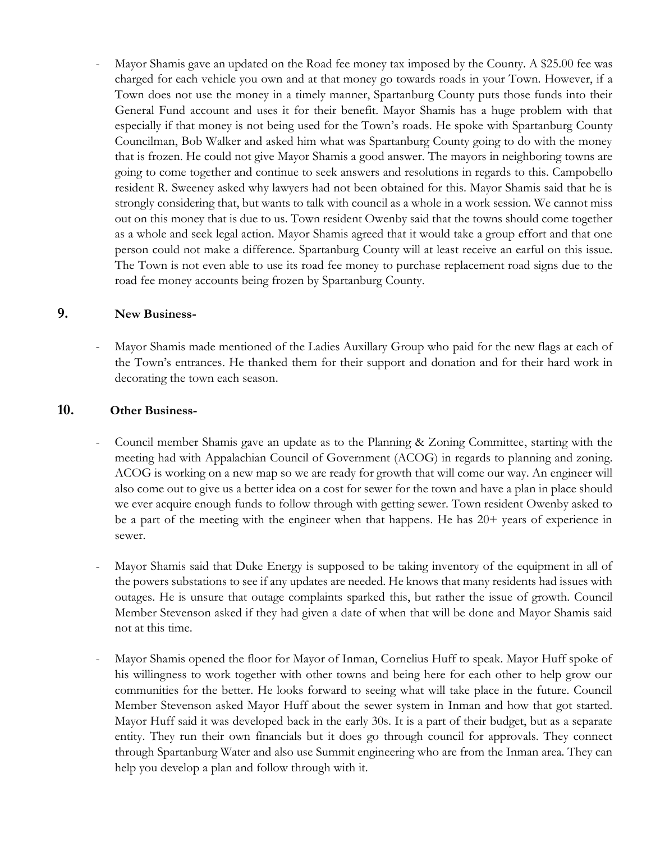Mayor Shamis gave an updated on the Road fee money tax imposed by the County. A \$25.00 fee was charged for each vehicle you own and at that money go towards roads in your Town. However, if a Town does not use the money in a timely manner, Spartanburg County puts those funds into their General Fund account and uses it for their benefit. Mayor Shamis has a huge problem with that especially if that money is not being used for the Town's roads. He spoke with Spartanburg County Councilman, Bob Walker and asked him what was Spartanburg County going to do with the money that is frozen. He could not give Mayor Shamis a good answer. The mayors in neighboring towns are going to come together and continue to seek answers and resolutions in regards to this. Campobello resident R. Sweeney asked why lawyers had not been obtained for this. Mayor Shamis said that he is strongly considering that, but wants to talk with council as a whole in a work session. We cannot miss out on this money that is due to us. Town resident Owenby said that the towns should come together as a whole and seek legal action. Mayor Shamis agreed that it would take a group effort and that one person could not make a difference. Spartanburg County will at least receive an earful on this issue. The Town is not even able to use its road fee money to purchase replacement road signs due to the road fee money accounts being frozen by Spartanburg County.

### **9. New Business-**

Mayor Shamis made mentioned of the Ladies Auxillary Group who paid for the new flags at each of the Town's entrances. He thanked them for their support and donation and for their hard work in decorating the town each season.

### **10. Other Business-**

- Council member Shamis gave an update as to the Planning & Zoning Committee, starting with the meeting had with Appalachian Council of Government (ACOG) in regards to planning and zoning. ACOG is working on a new map so we are ready for growth that will come our way. An engineer will also come out to give us a better idea on a cost for sewer for the town and have a plan in place should we ever acquire enough funds to follow through with getting sewer. Town resident Owenby asked to be a part of the meeting with the engineer when that happens. He has 20+ years of experience in sewer.
- Mayor Shamis said that Duke Energy is supposed to be taking inventory of the equipment in all of the powers substations to see if any updates are needed. He knows that many residents had issues with outages. He is unsure that outage complaints sparked this, but rather the issue of growth. Council Member Stevenson asked if they had given a date of when that will be done and Mayor Shamis said not at this time.
- Mayor Shamis opened the floor for Mayor of Inman, Cornelius Huff to speak. Mayor Huff spoke of his willingness to work together with other towns and being here for each other to help grow our communities for the better. He looks forward to seeing what will take place in the future. Council Member Stevenson asked Mayor Huff about the sewer system in Inman and how that got started. Mayor Huff said it was developed back in the early 30s. It is a part of their budget, but as a separate entity. They run their own financials but it does go through council for approvals. They connect through Spartanburg Water and also use Summit engineering who are from the Inman area. They can help you develop a plan and follow through with it.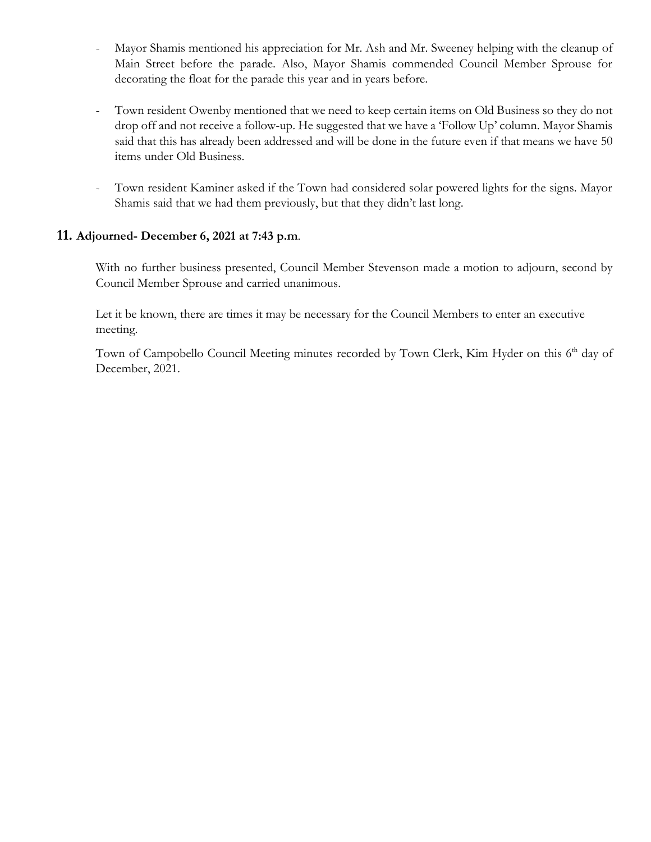- Mayor Shamis mentioned his appreciation for Mr. Ash and Mr. Sweeney helping with the cleanup of Main Street before the parade. Also, Mayor Shamis commended Council Member Sprouse for decorating the float for the parade this year and in years before.
- Town resident Owenby mentioned that we need to keep certain items on Old Business so they do not drop off and not receive a follow-up. He suggested that we have a 'Follow Up' column. Mayor Shamis said that this has already been addressed and will be done in the future even if that means we have 50 items under Old Business.
- Town resident Kaminer asked if the Town had considered solar powered lights for the signs. Mayor Shamis said that we had them previously, but that they didn't last long.

### **11. Adjourned- December 6, 2021 at 7:43 p.m**.

With no further business presented, Council Member Stevenson made a motion to adjourn, second by Council Member Sprouse and carried unanimous.

 Let it be known, there are times it may be necessary for the Council Members to enter an executive meeting.

Town of Campobello Council Meeting minutes recorded by Town Clerk, Kim Hyder on this 6<sup>th</sup> day of December, 2021.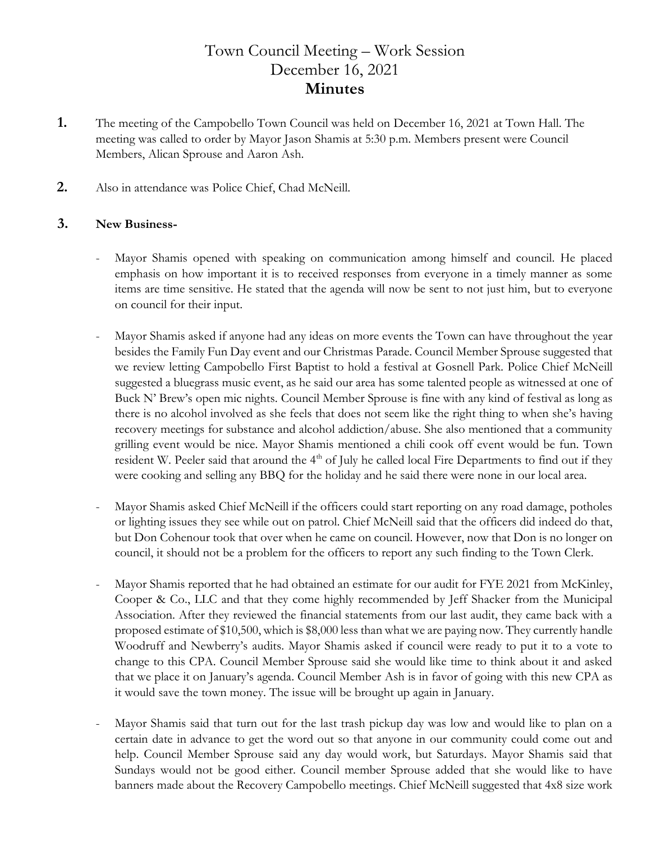# Town Council Meeting – Work Session December 16, 2021 **Minutes**

- **1.** The meeting of the Campobello Town Council was held on December 16, 2021 at Town Hall. The meeting was called to order by Mayor Jason Shamis at 5:30 p.m. Members present were Council Members, Alican Sprouse and Aaron Ash.
- **2.** Also in attendance was Police Chief, Chad McNeill.

### **3. New Business-**

- Mayor Shamis opened with speaking on communication among himself and council. He placed emphasis on how important it is to received responses from everyone in a timely manner as some items are time sensitive. He stated that the agenda will now be sent to not just him, but to everyone on council for their input.
- Mayor Shamis asked if anyone had any ideas on more events the Town can have throughout the year besides the Family Fun Day event and our Christmas Parade. Council Member Sprouse suggested that we review letting Campobello First Baptist to hold a festival at Gosnell Park. Police Chief McNeill suggested a bluegrass music event, as he said our area has some talented people as witnessed at one of Buck N' Brew's open mic nights. Council Member Sprouse is fine with any kind of festival as long as there is no alcohol involved as she feels that does not seem like the right thing to when she's having recovery meetings for substance and alcohol addiction/abuse. She also mentioned that a community grilling event would be nice. Mayor Shamis mentioned a chili cook off event would be fun. Town resident W. Peeler said that around the 4<sup>th</sup> of July he called local Fire Departments to find out if they were cooking and selling any BBQ for the holiday and he said there were none in our local area.
- Mayor Shamis asked Chief McNeill if the officers could start reporting on any road damage, potholes or lighting issues they see while out on patrol. Chief McNeill said that the officers did indeed do that, but Don Cohenour took that over when he came on council. However, now that Don is no longer on council, it should not be a problem for the officers to report any such finding to the Town Clerk.
- Mayor Shamis reported that he had obtained an estimate for our audit for FYE 2021 from McKinley, Cooper & Co., LLC and that they come highly recommended by Jeff Shacker from the Municipal Association. After they reviewed the financial statements from our last audit, they came back with a proposed estimate of \$10,500, which is \$8,000 less than what we are paying now. They currently handle Woodruff and Newberry's audits. Mayor Shamis asked if council were ready to put it to a vote to change to this CPA. Council Member Sprouse said she would like time to think about it and asked that we place it on January's agenda. Council Member Ash is in favor of going with this new CPA as it would save the town money. The issue will be brought up again in January.
- Mayor Shamis said that turn out for the last trash pickup day was low and would like to plan on a certain date in advance to get the word out so that anyone in our community could come out and help. Council Member Sprouse said any day would work, but Saturdays. Mayor Shamis said that Sundays would not be good either. Council member Sprouse added that she would like to have banners made about the Recovery Campobello meetings. Chief McNeill suggested that 4x8 size work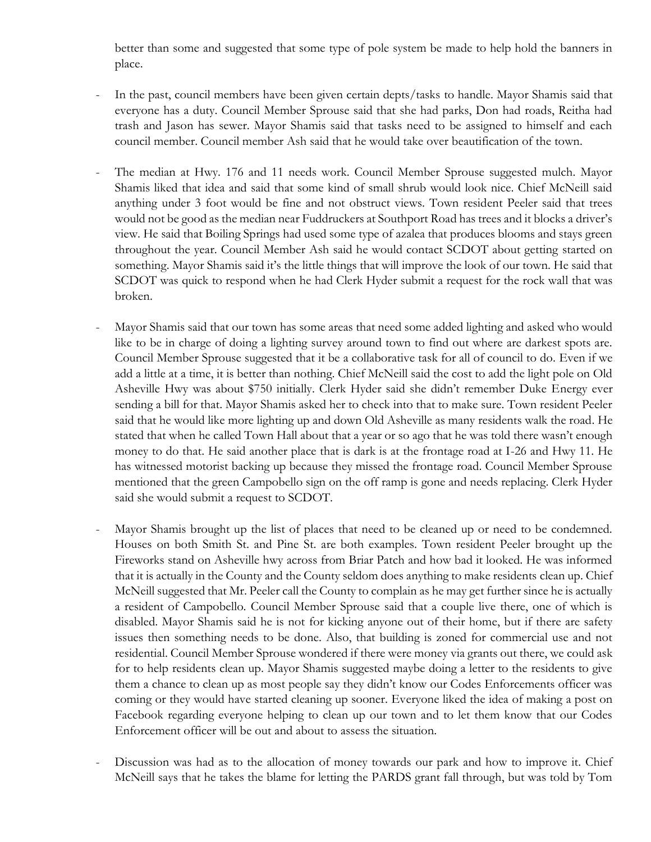better than some and suggested that some type of pole system be made to help hold the banners in place.

- In the past, council members have been given certain depts/tasks to handle. Mayor Shamis said that everyone has a duty. Council Member Sprouse said that she had parks, Don had roads, Reitha had trash and Jason has sewer. Mayor Shamis said that tasks need to be assigned to himself and each council member. Council member Ash said that he would take over beautification of the town.
- The median at Hwy. 176 and 11 needs work. Council Member Sprouse suggested mulch. Mayor Shamis liked that idea and said that some kind of small shrub would look nice. Chief McNeill said anything under 3 foot would be fine and not obstruct views. Town resident Peeler said that trees would not be good as the median near Fuddruckers at Southport Road has trees and it blocks a driver's view. He said that Boiling Springs had used some type of azalea that produces blooms and stays green throughout the year. Council Member Ash said he would contact SCDOT about getting started on something. Mayor Shamis said it's the little things that will improve the look of our town. He said that SCDOT was quick to respond when he had Clerk Hyder submit a request for the rock wall that was broken.
- Mayor Shamis said that our town has some areas that need some added lighting and asked who would like to be in charge of doing a lighting survey around town to find out where are darkest spots are. Council Member Sprouse suggested that it be a collaborative task for all of council to do. Even if we add a little at a time, it is better than nothing. Chief McNeill said the cost to add the light pole on Old Asheville Hwy was about \$750 initially. Clerk Hyder said she didn't remember Duke Energy ever sending a bill for that. Mayor Shamis asked her to check into that to make sure. Town resident Peeler said that he would like more lighting up and down Old Asheville as many residents walk the road. He stated that when he called Town Hall about that a year or so ago that he was told there wasn't enough money to do that. He said another place that is dark is at the frontage road at I-26 and Hwy 11. He has witnessed motorist backing up because they missed the frontage road. Council Member Sprouse mentioned that the green Campobello sign on the off ramp is gone and needs replacing. Clerk Hyder said she would submit a request to SCDOT.
- Mayor Shamis brought up the list of places that need to be cleaned up or need to be condemned. Houses on both Smith St. and Pine St. are both examples. Town resident Peeler brought up the Fireworks stand on Asheville hwy across from Briar Patch and how bad it looked. He was informed that it is actually in the County and the County seldom does anything to make residents clean up. Chief McNeill suggested that Mr. Peeler call the County to complain as he may get further since he is actually a resident of Campobello. Council Member Sprouse said that a couple live there, one of which is disabled. Mayor Shamis said he is not for kicking anyone out of their home, but if there are safety issues then something needs to be done. Also, that building is zoned for commercial use and not residential. Council Member Sprouse wondered if there were money via grants out there, we could ask for to help residents clean up. Mayor Shamis suggested maybe doing a letter to the residents to give them a chance to clean up as most people say they didn't know our Codes Enforcements officer was coming or they would have started cleaning up sooner. Everyone liked the idea of making a post on Facebook regarding everyone helping to clean up our town and to let them know that our Codes Enforcement officer will be out and about to assess the situation.
- Discussion was had as to the allocation of money towards our park and how to improve it. Chief McNeill says that he takes the blame for letting the PARDS grant fall through, but was told by Tom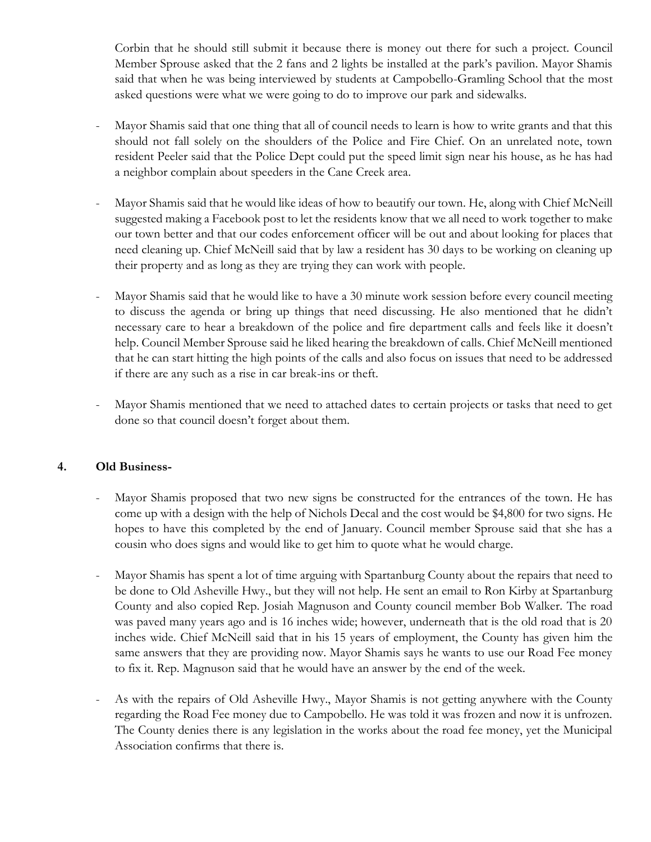Corbin that he should still submit it because there is money out there for such a project. Council Member Sprouse asked that the 2 fans and 2 lights be installed at the park's pavilion. Mayor Shamis said that when he was being interviewed by students at Campobello-Gramling School that the most asked questions were what we were going to do to improve our park and sidewalks.

- Mayor Shamis said that one thing that all of council needs to learn is how to write grants and that this should not fall solely on the shoulders of the Police and Fire Chief. On an unrelated note, town resident Peeler said that the Police Dept could put the speed limit sign near his house, as he has had a neighbor complain about speeders in the Cane Creek area.
- Mayor Shamis said that he would like ideas of how to beautify our town. He, along with Chief McNeill suggested making a Facebook post to let the residents know that we all need to work together to make our town better and that our codes enforcement officer will be out and about looking for places that need cleaning up. Chief McNeill said that by law a resident has 30 days to be working on cleaning up their property and as long as they are trying they can work with people.
- Mayor Shamis said that he would like to have a 30 minute work session before every council meeting to discuss the agenda or bring up things that need discussing. He also mentioned that he didn't necessary care to hear a breakdown of the police and fire department calls and feels like it doesn't help. Council Member Sprouse said he liked hearing the breakdown of calls. Chief McNeill mentioned that he can start hitting the high points of the calls and also focus on issues that need to be addressed if there are any such as a rise in car break-ins or theft.
- Mayor Shamis mentioned that we need to attached dates to certain projects or tasks that need to get done so that council doesn't forget about them.

## **4. Old Business-**

- Mayor Shamis proposed that two new signs be constructed for the entrances of the town. He has come up with a design with the help of Nichols Decal and the cost would be \$4,800 for two signs. He hopes to have this completed by the end of January. Council member Sprouse said that she has a cousin who does signs and would like to get him to quote what he would charge.
- Mayor Shamis has spent a lot of time arguing with Spartanburg County about the repairs that need to be done to Old Asheville Hwy., but they will not help. He sent an email to Ron Kirby at Spartanburg County and also copied Rep. Josiah Magnuson and County council member Bob Walker. The road was paved many years ago and is 16 inches wide; however, underneath that is the old road that is 20 inches wide. Chief McNeill said that in his 15 years of employment, the County has given him the same answers that they are providing now. Mayor Shamis says he wants to use our Road Fee money to fix it. Rep. Magnuson said that he would have an answer by the end of the week.
- As with the repairs of Old Asheville Hwy., Mayor Shamis is not getting anywhere with the County regarding the Road Fee money due to Campobello. He was told it was frozen and now it is unfrozen. The County denies there is any legislation in the works about the road fee money, yet the Municipal Association confirms that there is.